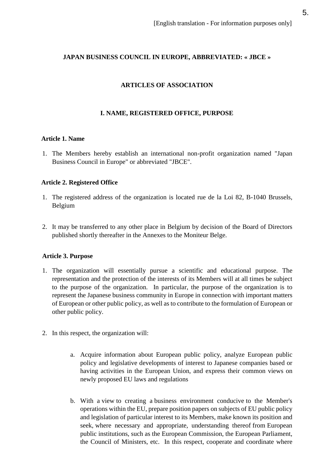# **JAPAN BUSINESS COUNCIL IN EUROPE, ABBREVIATED: « JBCE »**

# **ARTICLES OF ASSOCIATION**

## **I. NAME, REGISTERED OFFICE, PURPOSE**

#### **Article 1. Name**

1. The Members hereby establish an international non-profit organization named "Japan Business Council in Europe" or abbreviated "JBCE".

## **Article 2. Registered Office**

- 1. The registered address of the organization is located rue de la Loi 82, B-1040 Brussels, Belgium
- 2. It may be transferred to any other place in Belgium by decision of the Board of Directors published shortly thereafter in the Annexes to the Moniteur Belge.

## **Article 3. Purpose**

- 1. The organization will essentially pursue a scientific and educational purpose. The representation and the protection of the interests of its Members will at all times be subject to the purpose of the organization. In particular, the purpose of the organization is to represent the Japanese business community in Europe in connection with important matters of European or other public policy, as well as to contribute to the formulation of European or other public policy.
- 2. In this respect, the organization will:
	- a. Acquire information about European public policy, analyze European public policy and legislative developments of interest to Japanese companies based or having activities in the European Union, and express their common views on newly proposed EU laws and regulations
	- b. With a view to creating a business environment conducive to the Member's operations within the EU, prepare position papers on subjects of EU public policy and legislation of particular interest to its Members, make known its position and seek, where necessary and appropriate, understanding thereof from European public institutions, such as the European Commission, the European Parliament, the Council of Ministers, etc. In this respect, cooperate and coordinate where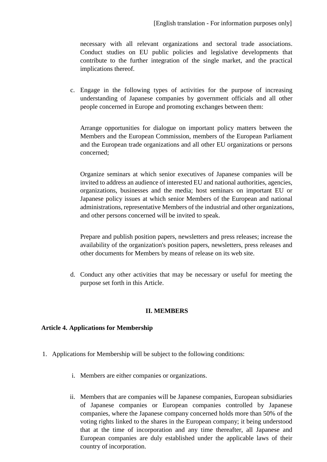necessary with all relevant organizations and sectoral trade associations. Conduct studies on EU public policies and legislative developments that contribute to the further integration of the single market, and the practical implications thereof.

c. Engage in the following types of activities for the purpose of increasing understanding of Japanese companies by government officials and all other people concerned in Europe and promoting exchanges between them:

Arrange opportunities for dialogue on important policy matters between the Members and the European Commission, members of the European Parliament and the European trade organizations and all other EU organizations or persons concerned;

Organize seminars at which senior executives of Japanese companies will be invited to address an audience of interested EU and national authorities, agencies, organizations, businesses and the media; host seminars on important EU or Japanese policy issues at which senior Members of the European and national administrations, representative Members of the industrial and other organizations, and other persons concerned will be invited to speak.

Prepare and publish position papers, newsletters and press releases; increase the availability of the organization's position papers, newsletters, press releases and other documents for Members by means of release on its web site.

d. Conduct any other activities that may be necessary or useful for meeting the purpose set forth in this Article.

## **II. MEMBERS**

## **Article 4. Applications for Membership**

- 1. Applications for Membership will be subject to the following conditions:
	- i. Members are either companies or organizations.
	- ii. Members that are companies will be Japanese companies, European subsidiaries of Japanese companies or European companies controlled by Japanese companies, where the Japanese company concerned holds more than 50% of the voting rights linked to the shares in the European company; it being understood that at the time of incorporation and any time thereafter, all Japanese and European companies are duly established under the applicable laws of their country of incorporation.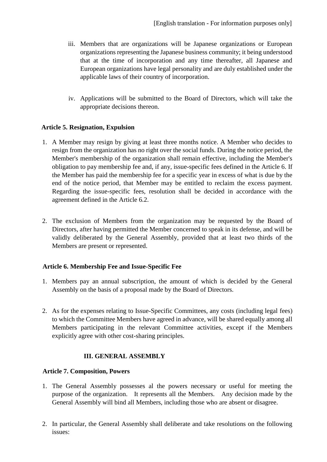- iii. Members that are organizations will be Japanese organizations or European organizations representing the Japanese business community; it being understood that at the time of incorporation and any time thereafter, all Japanese and European organizations have legal personality and are duly established under the applicable laws of their country of incorporation.
- iv. Applications will be submitted to the Board of Directors, which will take the appropriate decisions thereon.

## **Article 5. Resignation, Expulsion**

- 1. A Member may resign by giving at least three months notice. A Member who decides to resign from the organization has no right over the social funds. During the notice period, the Member's membership of the organization shall remain effective, including the Member's obligation to pay membership fee and, if any, issue-specific fees defined in the Article 6. If the Member has paid the membership fee for a specific year in excess of what is due by the end of the notice period, that Member may be entitled to reclaim the excess payment. Regarding the issue-specific fees, resolution shall be decided in accordance with the agreement defined in the Article 6.2.
- 2. The exclusion of Members from the organization may be requested by the Board of Directors, after having permitted the Member concerned to speak in its defense, and will be validly deliberated by the General Assembly, provided that at least two thirds of the Members are present or represented.

## **Article 6. Membership Fee and Issue-Specific Fee**

- 1. Members pay an annual subscription, the amount of which is decided by the General Assembly on the basis of a proposal made by the Board of Directors.
- 2. As for the expenses relating to Issue-Specific Committees, any costs (including legal fees) to which the Committee Members have agreed in advance, will be shared equally among all Members participating in the relevant Committee activities, except if the Members explicitly agree with other cost-sharing principles.

## **III. GENERAL ASSEMBLY**

#### **Article 7. Composition, Powers**

- 1. The General Assembly possesses al the powers necessary or useful for meeting the purpose of the organization. It represents all the Members. Any decision made by the General Assembly will bind all Members, including those who are absent or disagree.
- 2. In particular, the General Assembly shall deliberate and take resolutions on the following issues: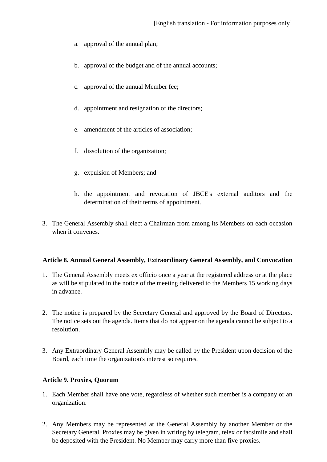- a. approval of the annual plan;
- b. approval of the budget and of the annual accounts;
- c. approval of the annual Member fee;
- d. appointment and resignation of the directors;
- e. amendment of the articles of association;
- f. dissolution of the organization;
- g. expulsion of Members; and
- h. the appointment and revocation of JBCE's external auditors and the determination of their terms of appointment.
- 3. The General Assembly shall elect a Chairman from among its Members on each occasion when it convenes.

#### **Article 8. Annual General Assembly, Extraordinary General Assembly, and Convocation**

- 1. The General Assembly meets ex officio once a year at the registered address or at the place as will be stipulated in the notice of the meeting delivered to the Members 15 working days in advance.
- 2. The notice is prepared by the Secretary General and approved by the Board of Directors. The notice sets out the agenda. Items that do not appear on the agenda cannot be subject to a resolution.
- 3. Any Extraordinary General Assembly may be called by the President upon decision of the Board, each time the organization's interest so requires.

#### **Article 9. Proxies, Quorum**

- 1. Each Member shall have one vote, regardless of whether such member is a company or an organization.
- 2. Any Members may be represented at the General Assembly by another Member or the Secretary General. Proxies may be given in writing by telegram, telex or facsimile and shall be deposited with the President. No Member may carry more than five proxies.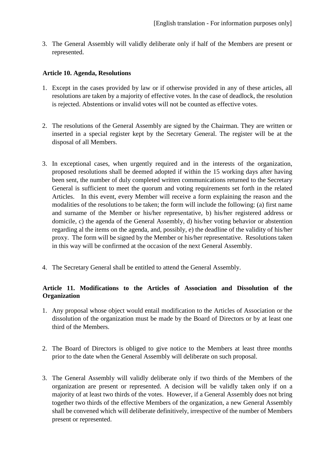3. The General Assembly will validly deliberate only if half of the Members are present or represented.

#### **Article 10. Agenda, Resolutions**

- 1. Except in the cases provided by law or if otherwise provided in any of these articles, all resolutions are taken by a majority of effective votes. In the case of deadlock, the resolution is rejected. Abstentions or invalid votes will not be counted as effective votes.
- 2. The resolutions of the General Assembly are signed by the Chairman. They are written or inserted in a special register kept by the Secretary General. The register will be at the disposal of all Members.
- 3. In exceptional cases, when urgently required and in the interests of the organization, proposed resolutions shall be deemed adopted if within the 15 working days after having been sent, the number of duly completed written communications returned to the Secretary General is sufficient to meet the quorum and voting requirements set forth in the related Articles. In this event, every Member will receive a form explaining the reason and the modalities of the resolutions to be taken; the form will include the following: (a) first name and surname of the Member or his/her representative, b) his/her registered address or domicile, c) the agenda of the General Assembly, d) his/her voting behavior or abstention regarding al the items on the agenda, and, possibly, e) the deadline of the validity of his/her proxy. The form will be signed by the Member or his/her representative. Resolutions taken in this way will be confirmed at the occasion of the next General Assembly.
- 4. The Secretary General shall be entitled to attend the General Assembly.

## **Article 11. Modifications to the Articles of Association and Dissolution of the Organization**

- 1. Any proposal whose object would entail modification to the Articles of Association or the dissolution of the organization must be made by the Board of Directors or by at least one third of the Members.
- 2. The Board of Directors is obliged to give notice to the Members at least three months prior to the date when the General Assembly will deliberate on such proposal.
- 3. The General Assembly will validly deliberate only if two thirds of the Members of the organization are present or represented. A decision will be validly taken only if on a majority of at least two thirds of the votes. However, if a General Assembly does not bring together two thirds of the effective Members of the organization, a new General Assembly shall be convened which will deliberate definitively, irrespective of the number of Members present or represented.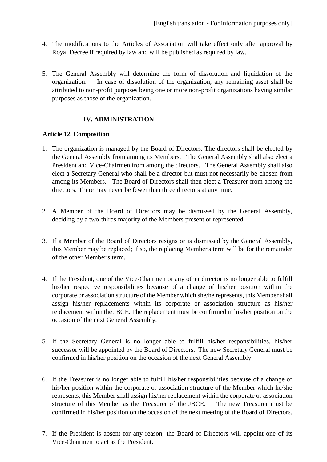- 4. The modifications to the Articles of Association will take effect only after approval by Royal Decree if required by law and will be published as required by law.
- 5. The General Assembly will determine the form of dissolution and liquidation of the organization. In case of dissolution of the organization, any remaining asset shall be attributed to non-profit purposes being one or more non-profit organizations having similar purposes as those of the organization.

# **IV. ADMINISTRATION**

#### **Article 12. Composition**

- 1. The organization is managed by the Board of Directors. The directors shall be elected by the General Assembly from among its Members. The General Assembly shall also elect a President and Vice-Chairmen from among the directors. The General Assembly shall also elect a Secretary General who shall be a director but must not necessarily be chosen from among its Members. The Board of Directors shall then elect a Treasurer from among the directors. There may never be fewer than three directors at any time.
- 2. A Member of the Board of Directors may be dismissed by the General Assembly, deciding by a two-thirds majority of the Members present or represented.
- 3. If a Member of the Board of Directors resigns or is dismissed by the General Assembly, this Member may be replaced; if so, the replacing Member's term will be for the remainder of the other Member's term.
- 4. If the President, one of the Vice-Chairmen or any other director is no longer able to fulfill his/her respective responsibilities because of a change of his/her position within the corporate or association structure of the Member which she/he represents, this Member shall assign his/her replacements within its corporate or association structure as his/her replacement within the JBCE. The replacement must be confirmed in his/her position on the occasion of the next General Assembly.
- 5. If the Secretary General is no longer able to fulfill his/her responsibilities, his/her successor will be appointed by the Board of Directors. The new Secretary General must be confirmed in his/her position on the occasion of the next General Assembly.
- 6. If the Treasurer is no longer able to fulfill his/her responsibilities because of a change of his/her position within the corporate or association structure of the Member which he/she represents, this Member shall assign his/her replacement within the corporate or association structure of this Member as the Treasurer of the JBCE. The new Treasurer must be confirmed in his/her position on the occasion of the next meeting of the Board of Directors.
- 7. If the President is absent for any reason, the Board of Directors will appoint one of its Vice-Chairmen to act as the President.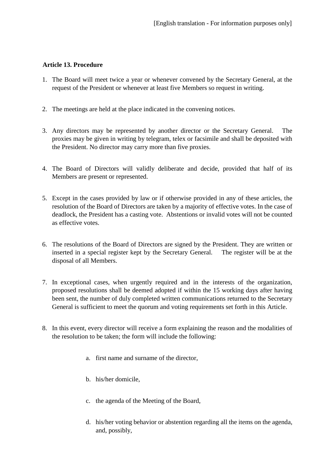#### **Article 13. Procedure**

- 1. The Board will meet twice a year or whenever convened by the Secretary General, at the request of the President or whenever at least five Members so request in writing.
- 2. The meetings are held at the place indicated in the convening notices.
- 3. Any directors may be represented by another director or the Secretary General. The proxies may be given in writing by telegram, telex or facsimile and shall be deposited with the President. No director may carry more than five proxies.
- 4. The Board of Directors will validly deliberate and decide, provided that half of its Members are present or represented.
- 5. Except in the cases provided by law or if otherwise provided in any of these articles, the resolution of the Board of Directors are taken by a majority of effective votes. In the case of deadlock, the President has a casting vote. Abstentions or invalid votes will not be counted as effective votes.
- 6. The resolutions of the Board of Directors are signed by the President. They are written or inserted in a special register kept by the Secretary General. The register will be at the disposal of all Members.
- 7. In exceptional cases, when urgently required and in the interests of the organization, proposed resolutions shall be deemed adopted if within the 15 working days after having been sent, the number of duly completed written communications returned to the Secretary General is sufficient to meet the quorum and voting requirements set forth in this Article.
- 8. In this event, every director will receive a form explaining the reason and the modalities of the resolution to be taken; the form will include the following:
	- a. first name and surname of the director,
	- b. his/her domicile,
	- c. the agenda of the Meeting of the Board,
	- d. his/her voting behavior or abstention regarding all the items on the agenda, and, possibly,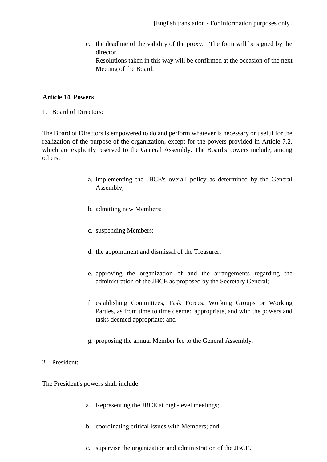e. the deadline of the validity of the proxy. The form will be signed by the director. Resolutions taken in this way will be confirmed at the occasion of the next Meeting of the Board.

## **Article 14. Powers**

1. Board of Directors:

The Board of Directors is empowered to do and perform whatever is necessary or useful for the realization of the purpose of the organization, except for the powers provided in Article 7.2, which are explicitly reserved to the General Assembly. The Board's powers include, among others:

- a. implementing the JBCE's overall policy as determined by the General Assembly;
- b. admitting new Members;
- c. suspending Members;
- d. the appointment and dismissal of the Treasurer;
- e. approving the organization of and the arrangements regarding the administration of the JBCE as proposed by the Secretary General;
- f. establishing Committees, Task Forces, Working Groups or Working Parties, as from time to time deemed appropriate, and with the powers and tasks deemed appropriate; and
- g. proposing the annual Member fee to the General Assembly.

## 2. President:

The President's powers shall include:

- a. Representing the JBCE at high-level meetings;
- b. coordinating critical issues with Members; and
- c. supervise the organization and administration of the JBCE.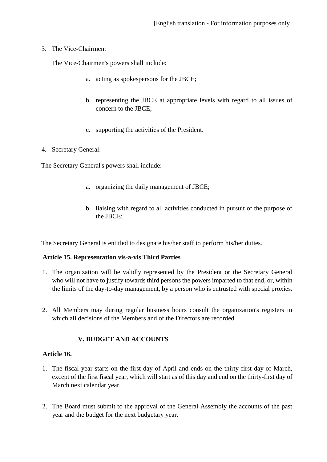#### 3. The Vice-Chairmen:

The Vice-Chairmen's powers shall include:

- a. acting as spokespersons for the JBCE;
- b. representing the JBCE at appropriate levels with regard to all issues of concern to the JBCE;
- c. supporting the activities of the President.
- 4. Secretary General:

The Secretary General's powers shall include:

- a. organizing the daily management of JBCE;
- b. liaising with regard to all activities conducted in pursuit of the purpose of the JBCE;

The Secretary General is entitled to designate his/her staff to perform his/her duties.

## **Article 15. Representation vis-a-vis Third Parties**

- 1. The organization will be validly represented by the President or the Secretary General who will not have to justify towards third persons the powers imparted to that end, or, within the limits of the day-to-day management, by a person who is entrusted with special proxies.
- 2. All Members may during regular business hours consult the organization's registers in which all decisions of the Members and of the Directors are recorded.

## **V. BUDGET AND ACCOUNTS**

#### **Article 16.**

- 1. The fiscal year starts on the first day of April and ends on the thirty-first day of March, except of the first fiscal year, which will start as of this day and end on the thirty-first day of March next calendar year.
- 2. The Board must submit to the approval of the General Assembly the accounts of the past year and the budget for the next budgetary year.